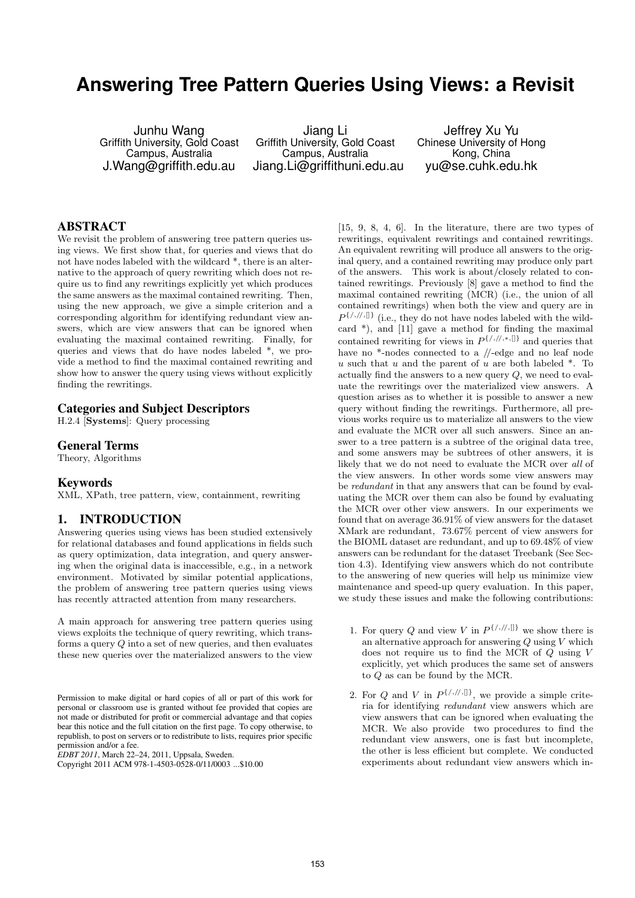# **Answering Tree Pattern Queries Using Views: a Revisit**

Junhu Wang Griffith University, Gold Coast Campus, Australia J.Wang@griffith.edu.au

Jiang Li Griffith University, Gold Coast Campus, Australia Jiang.Li@griffithuni.edu.au

Jeffrey Xu Yu Chinese University of Hong Kong, China yu@se.cuhk.edu.hk

# **ABSTRACT**

We revisit the problem of answering tree pattern queries using views. We first show that, for queries and views that do not have nodes labeled with the wildcard \*, there is an alternative to the approach of query rewriting which does not require us to find any rewritings explicitly yet which produces the same answers as the maximal contained rewriting. Then, using the new approach, we give a simple criterion and a corresponding algorithm for identifying redundant view answers, which are view answers that can be ignored when evaluating the maximal contained rewriting. Finally, for queries and views that do have nodes labeled \*, we provide a method to find the maximal contained rewriting and show how to answer the query using views without explicitly finding the rewritings.

## **Categories and Subject Descriptors**

H.2.4 [Systems]: Query processing

## **General Terms**

Theory, Algorithms

#### **Keywords**

XML, XPath, tree pattern, view, containment, rewriting

#### **1. INTRODUCTION**

Answering queries using views has been studied extensively for relational databases and found applications in fields such as query optimization, data integration, and query answering when the original data is inaccessible, e.g., in a network environment. Motivated by similar potential applications, the problem of answering tree pattern queries using views has recently attracted attention from many researchers.

A main approach for answering tree pattern queries using views exploits the technique of query rewriting, which transforms a query Q into a set of new queries, and then evaluates these new queries over the materialized answers to the view

*EDBT 2011*, March 22–24, 2011, Uppsala, Sweden.

[15, 9, 8, 4, 6]. In the literature, there are two types of rewritings, equivalent rewritings and contained rewritings. An equivalent rewriting will produce all answers to the original query, and a contained rewriting may produce only part of the answers. This work is about/closely related to contained rewritings. Previously [8] gave a method to find the maximal contained rewriting (MCR) (i.e., the union of all contained rewritings) when both the view and query are in  $P^{\{/,/,/\!/,\{]\}}$  (i.e., they do not have nodes labeled with the wildcard \*), and [11] gave a method for finding the maximal contained rewriting for views in  $P^{\{/,/,*,\{\} \}}$  and queries that have no \*-nodes connected to a //-edge and no leaf node u such that u and the parent of u are both labeled  $*$ . To actually find the answers to a new query  $Q$ , we need to evaluate the rewritings over the materialized view answers. A question arises as to whether it is possible to answer a new query without finding the rewritings. Furthermore, all previous works require us to materialize all answers to the view and evaluate the MCR over all such answers. Since an answer to a tree pattern is a subtree of the original data tree, and some answers may be subtrees of other answers, it is likely that we do not need to evaluate the MCR over all of the view answers. In other words some view answers may be redundant in that any answers that can be found by evaluating the MCR over them can also be found by evaluating the MCR over other view answers. In our experiments we found that on average 36.91% of view answers for the dataset XMark are redundant, 73.67% percent of view answers for the BIOML dataset are redundant, and up to 69.48% of view answers can be redundant for the dataset Treebank (See Section 4.3). Identifying view answers which do not contribute to the answering of new queries will help us minimize view maintenance and speed-up query evaluation. In this paper, we study these issues and make the following contributions:

- 1. For query Q and view V in  $P^{\{/\mu,\parallel\}}$  we show there is an alternative approach for answering  $Q$  using  $V$  which does not require us to find the MCR of Q using V explicitly, yet which produces the same set of answers to Q as can be found by the MCR.
- 2. For Q and V in  $P^{\{/\,\prime\},\{\}}$ , we provide a simple criteria for identifying redundant view answers which are view answers that can be ignored when evaluating the MCR. We also provide two procedures to find the redundant view answers, one is fast but incomplete, the other is less efficient but complete. We conducted experiments about redundant view answers which in-

Permission to make digital or hard copies of all or part of this work for personal or classroom use is granted without fee provided that copies are not made or distributed for profit or commercial advantage and that copies bear this notice and the full citation on the first page. To copy otherwise, to republish, to post on servers or to redistribute to lists, requires prior specific permission and/or a fee.

Copyright 2011 ACM 978-1-4503-0528-0/11/0003 ...\$10.00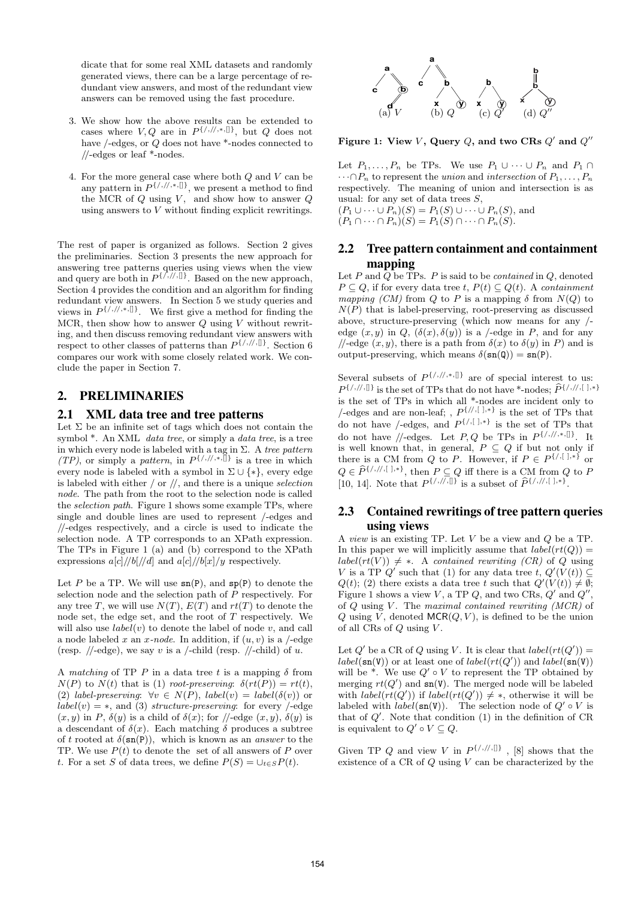dicate that for some real XML datasets and randomly generated views, there can be a large percentage of redundant view answers, and most of the redundant view answers can be removed using the fast procedure.

- 3. We show how the above results can be extended to cases where  $V, Q$  are in  $P^{\{/,/,*,\{\}]}$ , but  $Q$  does not have /-edges, or Q does not have \*-nodes connected to //-edges or leaf \*-nodes.
- 4. For the more general case where both  $Q$  and  $V$  can be any pattern in  $P^{\{/,/,*,\{\} \}}$ , we present a method to find the MCR of  $Q$  using  $V$ , and show how to answer  $Q$ using answers to  $V$  without finding explicit rewritings.

The rest of paper is organized as follows. Section 2 gives the preliminaries. Section 3 presents the new approach for answering tree patterns queries using views when the view and query are both in  $P^{\{/,/,/\},[]\}$ . Based on the new approach, Section 4 provides the condition and an algorithm for finding redundant view answers. In Section 5 we study queries and views in  $P^{\{/,/,*,\{\} \}}$ . We first give a method for finding the MCR, then show how to answer  $Q$  using V without rewriting, and then discuss removing redundant view answers with respect to other classes of patterns than  $P^{\{/,/,/\}$ compares our work with some closely related work. We conclude the paper in Section 7.

## **2. PRELIMINARIES**

#### **2.1 XML data tree and tree patterns**

Let  $\Sigma$  be an infinite set of tags which does not contain the symbol  $*$ . An XML *data tree*, or simply a *data tree*, is a tree in which every node is labeled with a tag in  $\Sigma$ . A tree pattern  $(TP)$ , or simply a *pattern*, in  $P^{\{/\!/,\!/,\ast,\mathbb{N}\}}$  is a tree in which every node is labeled with a symbol in  $\Sigma \cup \{*\}$ , every edge is labeled with either  $/$  or  $//$ , and there is a unique selection node. The path from the root to the selection node is called the selection path. Figure 1 shows some example TPs, where single and double lines are used to represent /-edges and //-edges respectively, and a circle is used to indicate the selection node. A TP corresponds to an XPath expression. The TPs in Figure 1 (a) and (b) correspond to the XPath expressions  $a[c]/\slash b[/\slash d]$  and  $a[c]/\slash b[x]/y$  respectively.

Let P be a TP. We will use  $\mathsf{sn}(P)$ , and  $\mathsf{sp}(P)$  to denote the selection node and the selection path of P respectively. For any tree T, we will use  $N(T)$ ,  $E(T)$  and  $rt(T)$  to denote the node set, the edge set, and the root of T respectively. We will also use  $label(v)$  to denote the label of node v, and call a node labeled x an x-node. In addition, if  $(u, v)$  is a /-edge (resp. //-edge), we say v is a /-child (resp. //-child) of u.

A matching of TP P in a data tree t is a mapping  $\delta$  from  $N(P)$  to  $N(t)$  that is (1) root-preserving:  $\delta(rt(P)) = rt(t)$ , (2) label-preserving:  $\forall v \in N(P)$ , label(v) = label( $\delta(v)$ ) or  $label(v) = *$ , and (3) structure-preserving: for every /-edge  $(x, y)$  in P,  $\delta(y)$  is a child of  $\delta(x)$ ; for //-edge  $(x, y)$ ,  $\delta(y)$  is a descendant of  $\delta(x)$ . Each matching  $\delta$  produces a subtree of t rooted at  $\delta(\mathbf{sn}(P))$ , which is known as an *answer* to the TP. We use  $P(t)$  to denote the set of all answers of P over t. For a set S of data trees, we define  $P(S) = \bigcup_{t \in S} P(t)$ .



Figure 1: View V, Query  $Q$ , and two CRs  $Q'$  and  $Q''$ 

Let  $P_1, \ldots, P_n$  be TPs. We use  $P_1 \cup \cdots \cup P_n$  and  $P_1 \cap$  $\cdots \cap P_n$  to represent the union and intersection of  $P_1, \ldots, P_n$ respectively. The meaning of union and intersection is as usual: for any set of data trees  $S$ ,  $(P_1 \cup \cdots \cup P_n)(S) = P_1(S) \cup \cdots \cup P_n(S)$ , and

 $(P_1 \cap \cdots \cap P_n)(S) = P_1(S) \cap \cdots \cap P_n(S).$ 

# **2.2 Tree pattern containment and containment mapping**

Let P and  $\overline{Q}$  be TPs. P is said to be *contained* in  $Q$ , denoted  $P \subseteq Q$ , if for every data tree t,  $P(t) \subseteq Q(t)$ . A containment mapping (CM) from Q to P is a mapping  $\delta$  from  $N(Q)$  to  $N(P)$  that is label-preserving, root-preserving as discussed above, structure-preserving (which now means for any / edge  $(x, y)$  in  $Q$ ,  $(\delta(x), \delta(y))$  is a /-edge in P, and for any //-edge  $(x, y)$ , there is a path from  $\delta(x)$  to  $\delta(y)$  in P) and is output-preserving, which means  $\delta(\text{sn}(\textbf{Q})) = \text{sn}(\textbf{P})$ .

Several subsets of  $P^{\{/,/,*,\{\} \}}$  are of special interest to us:  $P^{\{/,/,[]\}}$  is the set of TPs that do not have \*-nodes;  $\widehat{P}^{\{/,/,[]\}*\}}$ is the set of TPs in which all \*-nodes are incident only to /-edges and are non-leaf; ,  $P^{\{/\!\!/,\[\cdot\]},*}$  is the set of TPs that do not have /-edges, and  $P^{\{/\,[\ ],*\}}$  is the set of TPs that do not have //-edges. Let P, Q be TPs in  $P^{\{/\,\!/\,\!/\,\!*,\mathbb{I}\}}$ . It is well known that, in general,  $P \subseteq Q$  if but not only if there is a CM from Q to P. However, if  $P \in P^{\{\langle,\lceil\cdot\rceil,\ast\}}\}$  or  $Q \in \widehat{P}^{\{/,/,/\},[~],* \}},$  then  $P \subseteq Q$  iff there is a CM from  $Q$  to  $P$ [10, 14]. Note that  $P^{\{/\!/,\!/,\mathbb{I}\}}$  is a subset of  $\widehat{P}^{\{/\!/,\!/,\mathbb{I}\},*}$ .

## **2.3 Contained rewritings of tree pattern queries using views**

A view is an existing TP. Let V be a view and Q be a TP. In this paper we will implicitly assume that  $label(rt(Q)) =$  $label(rt(V)) \neq *$ . A contained rewriting (CR) of Q using V is a TP  $Q'$  such that (1) for any data tree t,  $Q'(V(t)) \subseteq$  $Q(t)$ ; (2) there exists a data tree t such that  $Q'(V(t)) \neq \emptyset$ ; Figure 1 shows a view  $V$ , a TP  $Q$ , and two CRs,  $Q'$  and  $Q''$ , of  $Q$  using  $V$ . The maximal contained rewriting  $(MCR)$  of Q using  $\tilde{V}$ , denoted MCR(Q, V), is defined to be the union of all CRs of  $Q$  using  $V$ .

Let  $Q'$  be a CR of Q using V. It is clear that  $label(rt(Q')) =$  $label(\mathbf{sn}(V))$  or at least one of  $label(rt(Q'))$  and  $label(\mathbf{sn}(V))$ will be  $*$ . We use  $Q' \circ V$  to represent the TP obtained by merging  $rt(Q')$  and  $sn(V)$ . The merged node will be labeled with  $label(rt(Q'))$  if  $label(rt(Q')) \neq *$ , otherwise it will be labeled with  $label(\text{sn}(V))$ . The selection node of  $Q' \circ V$  is that of  $Q'$ . Note that condition  $(1)$  in the definition of CR is equivalent to  $Q' \circ V \subseteq Q$ .

Given TP Q and view V in  $P^{\{/\,\mathit{//},[]\}}$ , [8] shows that the existence of a  $CR$  of  $Q$  using  $V$  can be characterized by the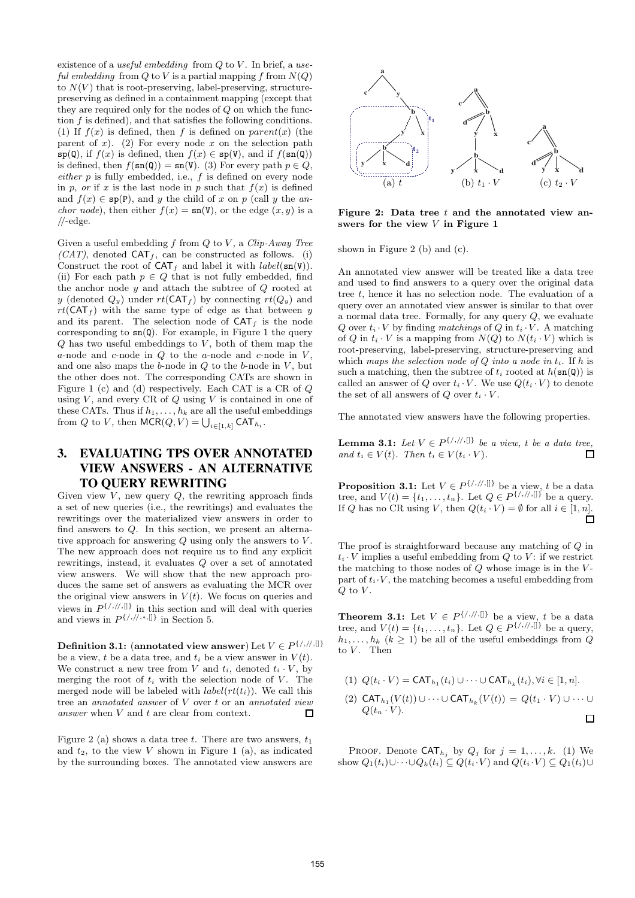existence of a useful embedding from  $Q$  to  $V$ . In brief, a useful embedding from  $Q$  to  $V$  is a partial mapping  $f$  from  $N(Q)$ to  $N(V)$  that is root-preserving, label-preserving, structurepreserving as defined in a containment mapping (except that they are required only for the nodes of Q on which the function  $f$  is defined), and that satisfies the following conditions. (1) If  $f(x)$  is defined, then f is defined on parent(x) (the parent of x). (2) For every node x on the selection path  $\mathfrak{sp}(\mathbb{Q})$ , if  $f(x)$  is defined, then  $f(x) \in \mathfrak{sp}(V)$ , and if  $f(\mathfrak{sn}(\mathbb{Q}))$ is defined, then  $f(\text{sn}(Q)) = \text{sn}(V)$ . (3) For every path  $p \in Q$ ,  $either p$  is fully embedded, i.e.,  $f$  is defined on every node in p, or if x is the last node in p such that  $f(x)$  is defined and  $f(x) \in \text{sp}(P)$ , and y the child of x on p (call y the an*chor node*), then either  $f(x) = \text{sn}(V)$ , or the edge  $(x, y)$  is a  $\sqrt{}$ -edge.

Given a useful embedding  $f$  from  $Q$  to  $V$ , a Clip-Away Tree  $(CAT)$ , denoted CAT<sub>f</sub>, can be constructed as follows. (i) Construct the root of  $CAT<sub>f</sub>$  and label it with *label*(sn(V)). (ii) For each path  $p \in Q$  that is not fully embedded, find the anchor node  $y$  and attach the subtree of  $Q$  rooted at y (denoted  $Q_y$ ) under  $rt(CAT_f)$  by connecting  $rt(Q_y)$  and  $rt(CAT<sub>f</sub>)$  with the same type of edge as that between y and its parent. The selection node of  $CAT<sub>f</sub>$  is the node corresponding to  $\text{sn}(Q)$ . For example, in Figure 1 the query  $Q$  has two useful embeddings to  $V$ , both of them map the a-node and c-node in  $Q$  to the a-node and c-node in  $V$ , and one also maps the  $b$ -node in  $Q$  to the  $b$ -node in  $V$ , but the other does not. The corresponding CATs are shown in Figure 1 (c) and (d) respectively. Each CAT is a CR of Q using  $V$ , and every CR of  $Q$  using  $V$  is contained in one of these CATs. Thus if  $h_1, \ldots, h_k$  are all the useful embeddings from Q to V, then  $\mathsf{MCR}(Q,V) = \bigcup_{i \in [1,k]} \mathsf{CAT}_{h_i}.$ 

# **3. EVALUATING TPS OVER ANNOTATED VIEW ANSWERS - AN ALTERNATIVE TO QUERY REWRITING**

Given view  $V$ , new query  $Q$ , the rewriting approach finds a set of new queries (i.e., the rewritings) and evaluates the rewritings over the materialized view answers in order to find answers to Q. In this section, we present an alternative approach for answering  $Q$  using only the answers to  $V$ . The new approach does not require us to find any explicit rewritings, instead, it evaluates Q over a set of annotated view answers. We will show that the new approach produces the same set of answers as evaluating the MCR over the original view answers in  $V(t)$ . We focus on queries and views in  $P^{\{/\mu,\{\}\}}$  in this section and will deal with queries and views in  $P^{\{/,/,*,\{\}]}$  in Section 5.

#### **Definition 3.1:** (annotated view answer) Let  $V \in P^{\{/,/,/\},[]\}$ be a view, t be a data tree, and  $t_i$  be a view answer in  $V(t)$ . We construct a new tree from V and  $t_i$ , denoted  $t_i \cdot V$ , by merging the root of  $t_i$  with the selection node of V. The merged node will be labeled with  $label(rt_i)$ ). We call this tree an annotated answer of V over t or an annotated view answer when V and t are clear from context. П

Figure 2 (a) shows a data tree t. There are two answers,  $t_1$ and  $t_2$ , to the view V shown in Figure 1 (a), as indicated by the surrounding boxes. The annotated view answers are



Figure 2: Data tree  $t$  and the annotated view answers for the view  $V$  in Figure 1

shown in Figure 2 (b) and (c).

An annotated view answer will be treated like a data tree and used to find answers to a query over the original data tree  $t$ , hence it has no selection node. The evaluation of a query over an annotated view answer is similar to that over a normal data tree. Formally, for any query  $Q$ , we evaluate Q over  $t_i \cdot V$  by finding matchings of Q in  $t_i \cdot V$ . A matching of Q in  $t_i \cdot V$  is a mapping from  $N(Q)$  to  $N(t_i \cdot V)$  which is root-preserving, label-preserving, structure-preserving and which maps the selection node of  $Q$  into a node in  $t_i$ . If h is such a matching, then the subtree of  $t_i$  rooted at  $h(\text{sn}(\textbf{Q}))$  is called an answer of Q over  $t_i \cdot V$ . We use  $Q(t_i \cdot V)$  to denote the set of all answers of  $Q$  over  $t_i \cdot V$ .

The annotated view answers have the following properties.

**Lemma 3.1:** Let  $V \in P^{\{/\!/,\mathsf{l}\}}$  be a view, t be a data tree, and  $t_i \in V(t)$ . Then  $t_i \in V(t_i \cdot V)$ .  $\Box$ 

**Proposition 3.1:** Let  $V \in P^{\{/,/,/\!/,\mathcal{l}|\}}$  be a view, t be a data tree, and  $V(t) = \{t_1, \ldots, t_n\}$ . Let  $Q \in P^{\{\,\!\{\,\!\{\,\!\!\{\,\!\!\!\}/\,\!\!\!\}\,\!\!\}}$  be a query. If Q has no CR using V, then  $Q(t_i \cdot V) = \emptyset$  for all  $i \in [1, n]$ .

The proof is straightforward because any matching of Q in  $t_i \cdot V$  implies a useful embedding from Q to V: if we restrict the matching to those nodes of  $Q$  whose image is in the  $V$ part of  $t_i \cdot V$ , the matching becomes a useful embedding from  $Q$  to  $V$ .

**Theorem 3.1:** Let  $V \in P^{\{/\!/,\{/\} \}}$  be a view, t be a data tree, and  $V(t) = \{t_1, \ldots, t_n\}$ . Let  $Q \in P^{\{\frac{\}{\beta}, \frac{\pi}{\beta}\}}$  be a query,  $h_1, \ldots, h_k$   $(k \geq 1)$  be all of the useful embeddings from  $Q$ to  $V$ . Then

(1) 
$$
Q(t_i \cdot V) = \text{CAT}_{h_1}(t_i) \cup \cdots \cup \text{CAT}_{h_k}(t_i), \forall i \in [1, n].
$$
  
\n(2)  $\text{CAT}_{h_1}(V(t)) \cup \cdots \cup \text{CAT}_{h_k}(V(t)) = Q(t_1 \cdot V) \cup \cdots \cup Q(t_n \cdot V).$ 

 $\Box$ 

PROOF. Denote  $CAT_{h_j}$  by  $Q_j$  for  $j = 1, ..., k$ . (1) We show  $Q_1(t_i)\cup\cdots\cup Q_k(t_i)\subseteq Q(t_i\cdot V)$  and  $Q(t_i\cdot V)\subseteq Q_1(t_i)\cup$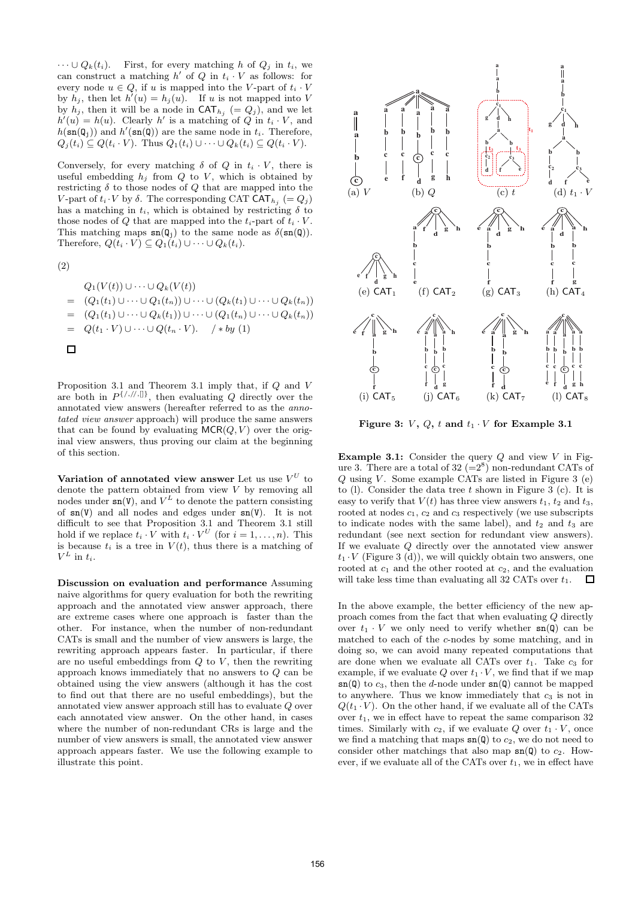$\cdots \cup Q_k(t_i)$ . First, for every matching h of  $Q_i$  in  $t_i$ , we can construct a matching  $h'$  of  $Q$  in  $t_i \cdot V$  as follows: for every node  $u \in Q$ , if u is mapped into the V-part of  $t_i \cdot V$ by  $h_j$ , then let  $h'(u) = h_j(u)$ . If u is not mapped into V by  $h_j$ , then it will be a node in  $\mathsf{CAT}_{h_j} (= Q_j)$ , and we let  $h'(u) = h(u)$ . Clearly h' is a matching of Q in  $t_i \cdot V$ , and  $h(\mathsf{sn}(\mathsf{Q}_j))$  and  $h'(\mathsf{sn}(\mathsf{Q}))$  are the same node in  $t_i$ . Therefore,  $Q_i(t_i) \subseteq Q(t_i \cdot V)$ . Thus  $Q_1(t_i) \cup \cdots \cup Q_k(t_i) \subseteq Q(t_i \cdot V)$ .

Conversely, for every matching  $\delta$  of  $Q$  in  $t_i \cdot V$ , there is useful embedding  $h_i$  from  $Q$  to  $V$ , which is obtained by restricting  $\delta$  to those nodes of  $Q$  that are mapped into the V-part of  $t_i \cdot V$  by  $\delta$ . The corresponding CAT CAT<sub> $h_j$ </sub> (=  $Q_j$ ) has a matching in  $t_i$ , which is obtained by restricting  $\delta$  to those nodes of Q that are mapped into the  $t_i$ -part of  $t_i \cdot V$ . This matching maps  $\text{sn}(\mathbf{Q}_j)$  to the same node as  $\delta(\text{sn}(\mathbf{Q}))$ . Therefore,  $Q(t_i \cdot V) \subseteq Q_1(t_i) \cup \cdots \cup Q_k(t_i)$ .

(2)

$$
Q_1(V(t)) \cup \cdots \cup Q_k(V(t))
$$
  
= (Q\_1(t\_1) \cup \cdots \cup Q\_1(t\_n)) \cup \cdots \cup (Q\_k(t\_1) \cup \cdots \cup Q\_k(t\_n))  
= (Q\_1(t\_1) \cup \cdots \cup Q\_k(t\_1)) \cup \cdots \cup (Q\_1(t\_n) \cup \cdots \cup Q\_k(t\_n))  
= Q(t\_1 \cdot V) \cup \cdots \cup Q(t\_n \cdot V). \t/ \* by (1)  
\n\square

Proposition 3.1 and Theorem 3.1 imply that, if Q and V are both in P {/,//,[]} , then evaluating Q directly over the annotated view answers (hereafter referred to as the annotated view answer approach) will produce the same answers that can be found by evaluating  $MCR(Q, V)$  over the original view answers, thus proving our claim at the beginning of this section.

Variation of annotated view answer Let us use  $V^U$  to denote the pattern obtained from view V by removing all nodes under  $\text{sn}(V)$ , and  $V^L$  to denote the pattern consisting of  $sn(V)$  and all nodes and edges under  $sn(V)$ . It is not difficult to see that Proposition 3.1 and Theorem 3.1 still hold if we replace  $t_i \cdot V$  with  $t_i \cdot V^U$  (for  $i = 1, \ldots, n$ ). This is because  $t_i$  is a tree in  $V(t)$ , thus there is a matching of  $V^L$  in  $t_i$ .

Discussion on evaluation and performance Assuming naive algorithms for query evaluation for both the rewriting approach and the annotated view answer approach, there are extreme cases where one approach is faster than the other. For instance, when the number of non-redundant CATs is small and the number of view answers is large, the rewriting approach appears faster. In particular, if there are no useful embeddings from  $Q$  to  $V$ , then the rewriting approach knows immediately that no answers to Q can be obtained using the view answers (although it has the cost to find out that there are no useful embeddings), but the annotated view answer approach still has to evaluate Q over each annotated view answer. On the other hand, in cases where the number of non-redundant CRs is large and the number of view answers is small, the annotated view answer approach appears faster. We use the following example to illustrate this point.



Figure 3:  $V$ ,  $Q$ ,  $t$  and  $t_1 \cdot V$  for Example 3.1

**Example 3.1:** Consider the query  $Q$  and view  $V$  in Figure 3. There are a total of  $32 \ (=2^8)$  non-redundant CATs of Q using V. Some example CATs are listed in Figure  $3$  (e) to  $(l)$ . Consider the data tree t shown in Figure 3  $(c)$ . It is easy to verify that  $V(t)$  has three view answers  $t_1$ ,  $t_2$  and  $t_3$ , rooted at nodes  $c_1$ ,  $c_2$  and  $c_3$  respectively (we use subscripts to indicate nodes with the same label), and  $t_2$  and  $t_3$  are redundant (see next section for redundant view answers). If we evaluate Q directly over the annotated view answer  $t_1 \cdot V$  (Figure 3 (d)), we will quickly obtain two answers, one rooted at  $c_1$  and the other rooted at  $c_2$ , and the evaluation will take less time than evaluating all 32 CATs over  $t_1$ .  $\Box$ 

In the above example, the better efficiency of the new approach comes from the fact that when evaluating Q directly over  $t_1 \cdot V$  we only need to verify whether  $\text{sn}(\text{Q})$  can be matched to each of the c-nodes by some matching, and in doing so, we can avoid many repeated computations that are done when we evaluate all CATs over  $t_1$ . Take  $c_3$  for example, if we evaluate Q over  $t_1 \cdot V$ , we find that if we map  $\mathbf{sn}(\mathbf{Q})$  to  $c_3$ , then the d-node under  $\mathbf{sn}(\mathbf{Q})$  cannot be mapped to anywhere. Thus we know immediately that  $c_3$  is not in  $Q(t_1 \cdot V)$ . On the other hand, if we evaluate all of the CATs over  $t_1$ , we in effect have to repeat the same comparison 32 times. Similarly with  $c_2$ , if we evaluate Q over  $t_1 \cdot V$ , once we find a matching that maps  $\text{sn}(\mathbb{Q})$  to  $c_2$ , we do not need to consider other matchings that also map  $\text{sn}(\mathbf{Q})$  to  $c_2$ . However, if we evaluate all of the CATs over  $t_1$ , we in effect have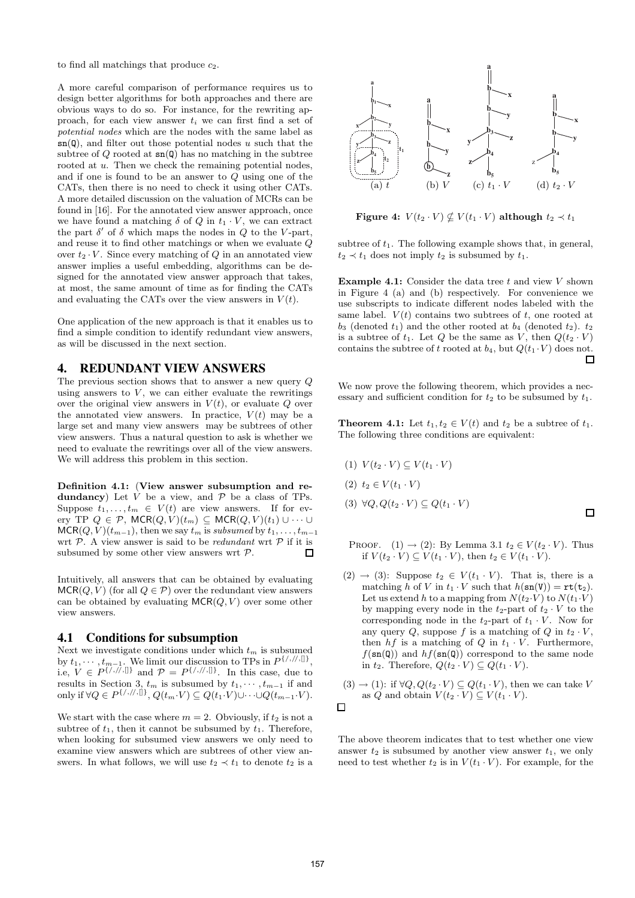to find all matchings that produce  $c_2$ .

A more careful comparison of performance requires us to design better algorithms for both approaches and there are obvious ways to do so. For instance, for the rewriting approach, for each view answer  $t_i$  we can first find a set of potential nodes which are the nodes with the same label as  $\mathsf{sn}(\mathsf{Q})$ , and filter out those potential nodes u such that the subtree of  $Q$  rooted at  $\text{sn}(Q)$  has no matching in the subtree rooted at u. Then we check the remaining potential nodes, and if one is found to be an answer to Q using one of the CATs, then there is no need to check it using other CATs. A more detailed discussion on the valuation of MCRs can be found in [16]. For the annotated view answer approach, once we have found a matching  $\delta$  of  $Q$  in  $t_1 \cdot V$ , we can extract the part  $\delta'$  of  $\delta$  which maps the nodes in  $Q$  to the V-part, and reuse it to find other matchings or when we evaluate Q over  $t_2 \cdot V$ . Since every matching of Q in an annotated view answer implies a useful embedding, algorithms can be designed for the annotated view answer approach that takes, at most, the same amount of time as for finding the CATs and evaluating the CATs over the view answers in  $V(t)$ .

One application of the new approach is that it enables us to find a simple condition to identify redundant view answers, as will be discussed in the next section.

## **4. REDUNDANT VIEW ANSWERS**

The previous section shows that to answer a new query Q using answers to  $V$ , we can either evaluate the rewritings over the original view answers in  $V(t)$ , or evaluate Q over the annotated view answers. In practice,  $V(t)$  may be a large set and many view answers may be subtrees of other view answers. Thus a natural question to ask is whether we need to evaluate the rewritings over all of the view answers. We will address this problem in this section.

Definition 4.1: (View answer subsumption and redundancy) Let  $V$  be a view, and  $P$  be a class of TPs. Suppose  $t_1, \ldots, t_m \in V(t)$  are view answers. If for every TP  $Q \in \mathcal{P}$ , MCR $(Q, V)(t_m) \subseteq \mathsf{MCR}(Q, V)(t_1) \cup \cdots \cup$  $MCR(Q, V)(t_{m-1})$ , then we say  $t_m$  is subsumed by  $t_1, \ldots, t_{m-1}$ wrt  $P$ . A view answer is said to be *redundant* wrt  $P$  if it is subsumed by some other view answers wrt P.  $\Box$ 

Intuitively, all answers that can be obtained by evaluating  $MCR(O, V)$  (for all  $Q \in \mathcal{P}$ ) over the redundant view answers can be obtained by evaluating  $MCR(Q, V)$  over some other view answers.

## **4.1 Conditions for subsumption**

Next we investigate conditions under which  $t_m$  is subsumed by  $t_1, \dots, t_{m-1}$ . We limit our discussion to TPs in  $P^{\{/\gamma/\beta\}}$ , i.e,  $V \in P^{\{/\!/,\!/,\mathbb{I}\}}$  and  $\mathcal{P} = P^{\{/\!/,\!/,\mathbb{I}\}}$ . In this case, due to results in Section 3,  $t_m$  is subsumed by  $t_1, \dots, t_{m-1}$  if and only if ∀ $Q \in P^{\{/,/,/\!/,\{]\}}$ ,  $Q(t_m \cdot V) \subseteq Q(t_1 \cdot V) \cup \cdots \cup Q(t_{m-1} \cdot V)$ .

We start with the case where  $m = 2$ . Obviously, if  $t_2$  is not a subtree of  $t_1$ , then it cannot be subsumed by  $t_1$ . Therefore, when looking for subsumed view answers we only need to examine view answers which are subtrees of other view answers. In what follows, we will use  $t_2 \prec t_1$  to denote  $t_2$  is a



Figure 4:  $V(t_2 \cdot V) \nsubseteq V(t_1 \cdot V)$  although  $t_2 \prec t_1$ 

subtree of  $t_1$ . The following example shows that, in general,  $t_2 \prec t_1$  does not imply  $t_2$  is subsumed by  $t_1$ .

**Example 4.1:** Consider the data tree t and view  $V$  shown in Figure 4 (a) and (b) respectively. For convenience we use subscripts to indicate different nodes labeled with the same label.  $V(t)$  contains two subtrees of t, one rooted at  $b_3$  (denoted  $t_1$ ) and the other rooted at  $b_4$  (denoted  $t_2$ ).  $t_2$ is a subtree of  $t_1$ . Let Q be the same as V, then  $Q(t_2 \cdot V)$ contains the subtree of t rooted at  $b_4$ , but  $Q(t_1 \cdot V)$  does not.  $\Box$ 

We now prove the following theorem, which provides a necessary and sufficient condition for  $t_2$  to be subsumed by  $t_1$ .

**Theorem 4.1:** Let  $t_1, t_2 \in V(t)$  and  $t_2$  be a subtree of  $t_1$ . The following three conditions are equivalent:

$$
(1) V(t_2 \cdot V) \subseteq V(t_1 \cdot V)
$$
  
\n
$$
(2) t_2 \in V(t_1 \cdot V)
$$
  
\n
$$
(3) \forall Q, Q(t_2 \cdot V) \subseteq Q(t_1 \cdot V)
$$

- PROOF.  $(1) \rightarrow (2)$ : By Lemma 3.1  $t_2 \in V(t_2 \cdot V)$ . Thus if  $V(t_2 \cdot V) \subseteq V(t_1 \cdot V)$ , then  $t_2 \in V(t_1 \cdot V)$ .
- $(2) \rightarrow (3)$ : Suppose  $t_2 \in V(t_1 \cdot V)$ . That is, there is a matching h of V in  $t_1 \cdot V$  such that  $h(\text{sn}(V)) = \text{rt}(\text{t}_2)$ . Let us extend h to a mapping from  $N(t_2\cdot V)$  to  $N(t_1\cdot V)$ by mapping every node in the  $t_2$ -part of  $t_2 \cdot V$  to the corresponding node in the  $t_2$ -part of  $t_1 \cdot V$ . Now for any query Q, suppose f is a matching of Q in  $t_2 \cdot V$ , then  $hf$  is a matching of Q in  $t_1 \cdot V$ . Furthermore,  $f(\text{sn}(\text{Q}))$  and  $hf(\text{sn}(\text{Q}))$  correspond to the same node in  $t_2$ . Therefore,  $Q(t_2 \cdot V) \subseteq Q(t_1 \cdot V)$ .
- $(3) \rightarrow (1)$ : if  $\forall Q, Q(t_2 \cdot V) \subseteq Q(t_1 \cdot V)$ , then we can take V as Q and obtain  $V(t_2 \cdot V) \subseteq V(t_1 \cdot V)$ .



The above theorem indicates that to test whether one view answer  $t_2$  is subsumed by another view answer  $t_1$ , we only need to test whether  $t_2$  is in  $V(t_1 \cdot V)$ . For example, for the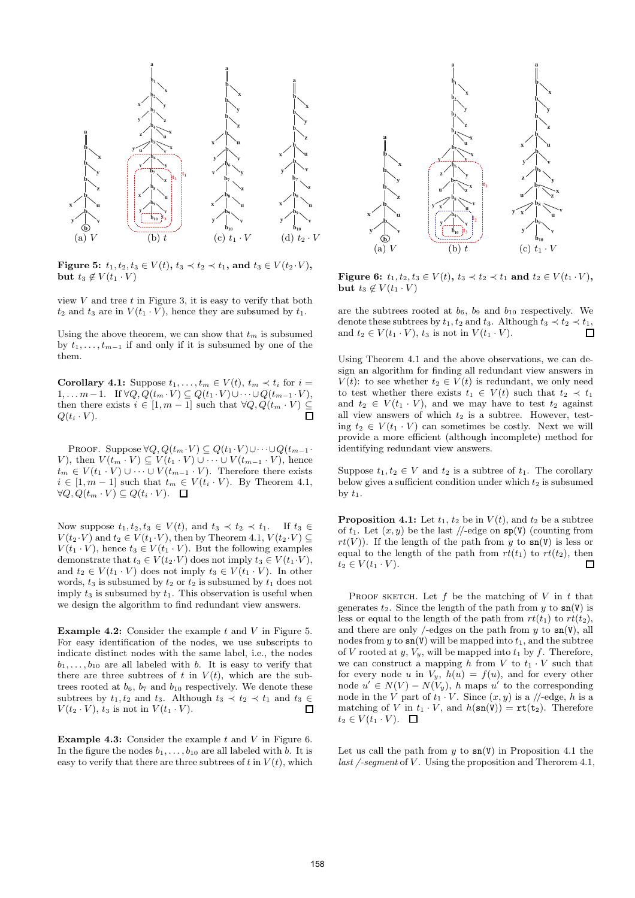

Figure 5:  $t_1, t_2, t_3 \in V(t)$ ,  $t_3 \prec t_2 \prec t_1$ , and  $t_3 \in V(t_2 \cdot V)$ , but  $t_3 \notin V(t_1 \cdot V)$ 

view  $V$  and tree  $t$  in Figure 3, it is easy to verify that both  $t_2$  and  $t_3$  are in  $V(t_1 \cdot V)$ , hence they are subsumed by  $t_1$ .

Using the above theorem, we can show that  $t_m$  is subsumed by  $t_1, \ldots, t_{m-1}$  if and only if it is subsumed by one of the them.

**Corollary 4.1:** Suppose  $t_1, \ldots, t_m \in V(t)$ ,  $t_m \prec t_i$  for  $i =$  $1, \ldots m-1$ . If  $\forall Q, Q(t_m \cdot V) \subseteq Q(t_1 \cdot V) \cup \cdots \cup Q(t_{m-1} \cdot V)$ , then there exists  $i \in [1, m-1]$  such that  $\forall Q, Q(t_m \cdot V) \subseteq$ <br> $O(t_i \cdot V)$  $Q(t_i \cdot V)$ .

PROOF. Suppose  $\forall Q, Q(t_m \cdot V) \subseteq Q(t_1 \cdot V) \cup \cdots \cup Q(t_{m-1} \cdot V)$ V), then  $V(t_m \cdot V) \subseteq V(t_1 \cdot V) \cup \cdots \cup V(t_{m-1} \cdot V)$ , hence  $t_m \in V(t_1 \cdot V) \cup \cdots \cup V(t_{m-1} \cdot V)$ . Therefore there exists  $i \in [1, m - 1]$  such that  $t_m \in V(t_i \cdot V)$ . By Theorem 4.1,  $\forall Q, Q(t_m \cdot V) \subseteq Q(t_i \cdot V).$ 

Now suppose  $t_1, t_2, t_3 \in V(t)$ , and  $t_3 \prec t_2 \prec t_1$ . If  $t_3 \in$  $V(t_2 \cdot V)$  and  $t_2 \in V(t_1 \cdot V)$ , then by Theorem 4.1,  $V(t_2 \cdot V) \subseteq$  $V(t_1 \cdot V)$ , hence  $t_3 \in V(t_1 \cdot V)$ . But the following examples demonstrate that  $t_3 \in V(t_2\cdot V)$  does not imply  $t_3 \in V(t_1\cdot V)$ , and  $t_2 \in V(t_1 \cdot V)$  does not imply  $t_3 \in V(t_1 \cdot V)$ . In other words,  $t_3$  is subsumed by  $t_2$  or  $t_2$  is subsumed by  $t_1$  does not imply  $t_3$  is subsumed by  $t_1$ . This observation is useful when we design the algorithm to find redundant view answers.

**Example 4.2:** Consider the example  $t$  and  $V$  in Figure 5. For easy identification of the nodes, we use subscripts to indicate distinct nodes with the same label, i.e., the nodes  $b_1, \ldots, b_{10}$  are all labeled with b. It is easy to verify that there are three subtrees of t in  $V(t)$ , which are the subtrees rooted at  $b_6$ ,  $b_7$  and  $b_{10}$  respectively. We denote these subtrees by  $t_1, t_2$  and  $t_3$ . Although  $t_3 \prec t_2 \prec t_1$  and  $t_3 \in$  $V(t_2 \cdot V)$ ,  $t_3$  is not in  $V(t_1 \cdot V)$ .  $\Box$ 

**Example 4.3:** Consider the example  $t$  and  $V$  in Figure 6. In the figure the nodes  $b_1, \ldots, b_{10}$  are all labeled with b. It is easy to verify that there are three subtrees of t in  $V(t)$ , which



Figure 6:  $t_1, t_2, t_3 \in V(t)$ ,  $t_3 \prec t_2 \prec t_1$  and  $t_2 \in V(t_1 \cdot V)$ , but  $t_3 \notin V(t_1 \cdot V)$ 

are the subtrees rooted at  $b_6$ ,  $b_9$  and  $b_{10}$  respectively. We denote these subtrees by  $t_1, t_2$  and  $t_3$ . Although  $t_3 \prec t_2 \prec t_1$ , and  $t_2 \in V(t_1 \cdot V)$ ,  $t_3$  is not in  $V(t_1 \cdot V)$ .  $\Box$ 

Using Theorem 4.1 and the above observations, we can design an algorithm for finding all redundant view answers in  $V(t)$ : to see whether  $t_2 \in V(t)$  is redundant, we only need to test whether there exists  $t_1 \in V(t)$  such that  $t_2 \prec t_1$ and  $t_2 \in V(t_1 \cdot V)$ , and we may have to test  $t_2$  against all view answers of which  $t_2$  is a subtree. However, testing  $t_2 \in V(t_1 \cdot V)$  can sometimes be costly. Next we will provide a more efficient (although incomplete) method for identifying redundant view answers.

Suppose  $t_1, t_2 \in V$  and  $t_2$  is a subtree of  $t_1$ . The corollary below gives a sufficient condition under which  $t_2$  is subsumed by  $t_1$ .

**Proposition 4.1:** Let  $t_1$ ,  $t_2$  be in  $V(t)$ , and  $t_2$  be a subtree of  $t_1$ . Let  $(x, y)$  be the last //-edge on  $\mathbf{sp}(V)$  (counting from  $rt(V)$ ). If the length of the path from y to  $sn(V)$  is less or equal to the length of the path from  $rt(t_1)$  to  $rt(t_2)$ , then  $t_2 \in V(t_1 \cdot V)$ .  $\Box$ 

PROOF SKETCH. Let  $f$  be the matching of  $V$  in  $t$  that generates  $t_2$ . Since the length of the path from y to  $\text{sn}(V)$  is less or equal to the length of the path from  $rt(t_1)$  to  $rt(t_2)$ , and there are only /-edges on the path from y to  $\text{sn}(V)$ , all nodes from y to  $\sin(y)$  will be mapped into  $t_1$ , and the subtree of V rooted at  $y, V_y$ , will be mapped into  $t_1$  by  $f$ . Therefore, we can construct a mapping h from V to  $t_1 \cdot V$  such that for every node u in  $V_y$ ,  $h(u) = f(u)$ , and for every other node  $u' \in N(V) - N(V_y)$ , h maps u' to the corresponding node in the V part of  $t_1 \cdot V$ . Since  $(x, y)$  is a //-edge, h is a matching of V in  $t_1 \cdot V$ , and  $h(\text{sn}(V)) = \text{rt}(\text{t}_2)$ . Therefore  $t_2 \in V(t_1 \cdot V)$ .  $\Box$ 

Let us call the path from  $y$  to  $\text{sn}(V)$  in Proposition 4.1 the last /-segment of  $V$ . Using the proposition and Therorem 4.1,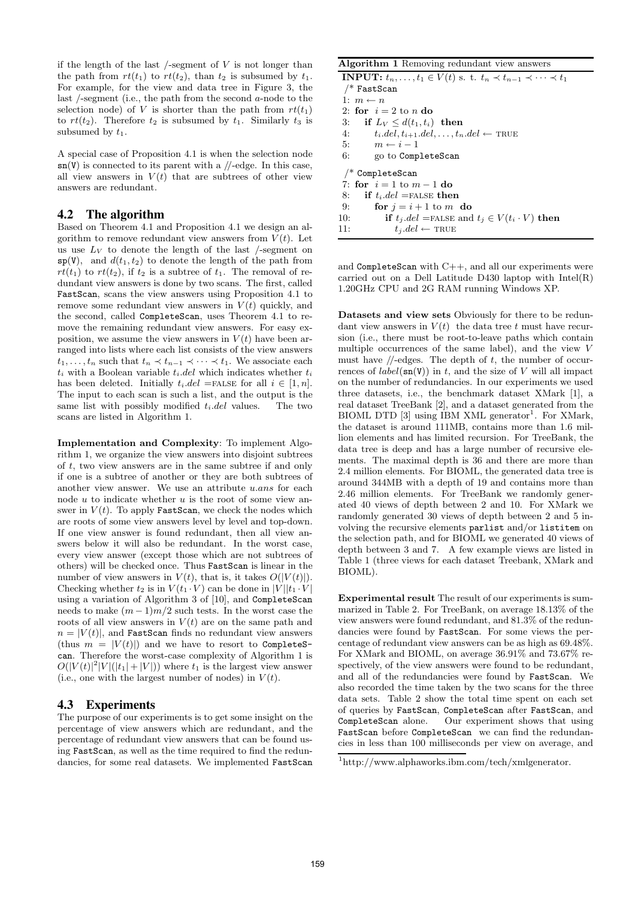if the length of the last  $/$ -segment of  $V$  is not longer than the path from  $rt(t_1)$  to  $rt(t_2)$ , than  $t_2$  is subsumed by  $t_1$ . For example, for the view and data tree in Figure 3, the last /-segment (i.e., the path from the second a-node to the selection node) of V is shorter than the path from  $rt(t_1)$ to  $rt(t_2)$ . Therefore  $t_2$  is subsumed by  $t_1$ . Similarly  $t_3$  is subsumed by  $t_1$ .

A special case of Proposition 4.1 is when the selection node  $\text{sn}(V)$  is connected to its parent with a //-edge. In this case, all view answers in  $V(t)$  that are subtrees of other view answers are redundant.

#### **4.2 The algorithm**

Based on Theorem 4.1 and Proposition 4.1 we design an algorithm to remove redundant view answers from  $V(t)$ . Let us use  $L_V$  to denote the length of the last  $/$ -segment on  $\text{sp}(V)$ , and  $d(t_1, t_2)$  to denote the length of the path from  $rt(t_1)$  to  $rt(t_2)$ , if  $t_2$  is a subtree of  $t_1$ . The removal of redundant view answers is done by two scans. The first, called FastScan, scans the view answers using Proposition 4.1 to remove some redundant view answers in  $V(t)$  quickly, and the second, called CompleteScan, uses Theorem 4.1 to remove the remaining redundant view answers. For easy exposition, we assume the view answers in  $V(t)$  have been arranged into lists where each list consists of the view answers  $t_1, \ldots, t_n$  such that  $t_n \prec t_{n-1} \prec \cdots \prec t_1$ . We associate each  $t_i$  with a Boolean variable  $t_i$ .del which indicates whether  $t_i$ has been deleted. Initially  $t_i$ .del =FALSE for all  $i \in [1, n]$ . The input to each scan is such a list, and the output is the same list with possibly modified  $t_i$ .del values. The two scans are listed in Algorithm 1.

Implementation and Complexity: To implement Algorithm 1, we organize the view answers into disjoint subtrees of t, two view answers are in the same subtree if and only if one is a subtree of another or they are both subtrees of another view answer. We use an attribute u.ans for each node  $u$  to indicate whether  $u$  is the root of some view answer in  $V(t)$ . To apply FastScan, we check the nodes which are roots of some view answers level by level and top-down. If one view answer is found redundant, then all view answers below it will also be redundant. In the worst case, every view answer (except those which are not subtrees of others) will be checked once. Thus FastScan is linear in the number of view answers in  $V(t)$ , that is, it takes  $O(|V(t)|)$ . Checking whether  $t_2$  is in  $V(t_1 \cdot V)$  can be done in  $|V||t_1 \cdot V|$ using a variation of Algorithm 3 of [10], and CompleteScan needs to make  $(m-1)m/2$  such tests. In the worst case the roots of all view answers in  $V(t)$  are on the same path and  $n = |V(t)|$ , and **FastScan** finds no redundant view answers (thus  $m = |V(t)|$ ) and we have to resort to CompleteScan. Therefore the worst-case complexity of Algorithm 1 is  $O(|V(t)|^2|V|(|t_1|+|V|))$  where  $t_1$  is the largest view answer (i.e., one with the largest number of nodes) in  $V(t)$ .

## **4.3 Experiments**

The purpose of our experiments is to get some insight on the percentage of view answers which are redundant, and the percentage of redundant view answers that can be found using FastScan, as well as the time required to find the redundancies, for some real datasets. We implemented FastScan

#### Algorithm 1 Removing redundant view answers

**INPUT:**  $t_n, \ldots, t_1 \in V(t)$  s. t.  $t_n \prec t_{n-1} \prec \cdots \prec t_1$  $/*$  FastScan 1:  $m \leftarrow n$ 2: for  $i = 2$  to n do 3: if  $L_V \leq d(t_1, t_i)$  then 4:  $t_i.del, t_{i+1}.del, \ldots, t_n.del \leftarrow \text{TRUE}$ <br>5.  $m \leftarrow i-1$  $m \leftarrow i - 1$ 6: go to CompleteScan /\* CompleteScan 7: for  $i = 1$  to  $m - 1$  do 8: if  $t_i$ .del =FALSE then 9: for  $i = i + 1$  to m do 10: **if**  $t_j$  *del* = FALSE and  $t_j \in V(t_i \cdot V)$  **then** 11.  $t_i$  *del*  $\leftarrow$  TRUE  $t_i$ .del ← TRUE

and  $Completely$ can with  $C++$ , and all our experiments were carried out on a Dell Latitude D430 laptop with Intel(R) 1.20GHz CPU and 2G RAM running Windows XP.

Datasets and view sets Obviously for there to be redundant view answers in  $V(t)$  the data tree t must have recursion (i.e., there must be root-to-leave paths which contain multiple occurrences of the same label), and the view V must have  $\sqrt{\ }$ -edges. The depth of t, the number of occurrences of  $label(\mathbf{s}_n(\mathbf{V}))$  in t, and the size of V will all impact on the number of redundancies. In our experiments we used three datasets, i.e., the benchmark dataset XMark [1], a real dataset TreeBank [2], and a dataset generated from the  $B IOML$  DTD [3] using IBM XML generator<sup>1</sup>. For XMark, the dataset is around 111MB, contains more than 1.6 million elements and has limited recursion. For TreeBank, the data tree is deep and has a large number of recursive elements. The maximal depth is 36 and there are more than 2.4 million elements. For BIOML, the generated data tree is around 344MB with a depth of 19 and contains more than 2.46 million elements. For TreeBank we randomly generated 40 views of depth between 2 and 10. For XMark we randomly generated 30 views of depth between 2 and 5 involving the recursive elements parlist and/or listitem on the selection path, and for BIOML we generated 40 views of depth between 3 and 7. A few example views are listed in Table 1 (three views for each dataset Treebank, XMark and BIOML).

Experimental result The result of our experiments is summarized in Table 2. For TreeBank, on average 18.13% of the view answers were found redundant, and 81.3% of the redundancies were found by FastScan. For some views the percentage of redundant view answers can be as high as 69.48%. For XMark and BIOML, on average 36.91% and 73.67% respectively, of the view answers were found to be redundant, and all of the redundancies were found by FastScan. We also recorded the time taken by the two scans for the three data sets. Table 2 show the total time spent on each set of queries by FastScan, CompleteScan after FastScan, and CompleteScan alone. Our experiment shows that using FastScan before CompleteScan we can find the redundancies in less than 100 milliseconds per view on average, and

<sup>1</sup> http://www.alphaworks.ibm.com/tech/xmlgenerator.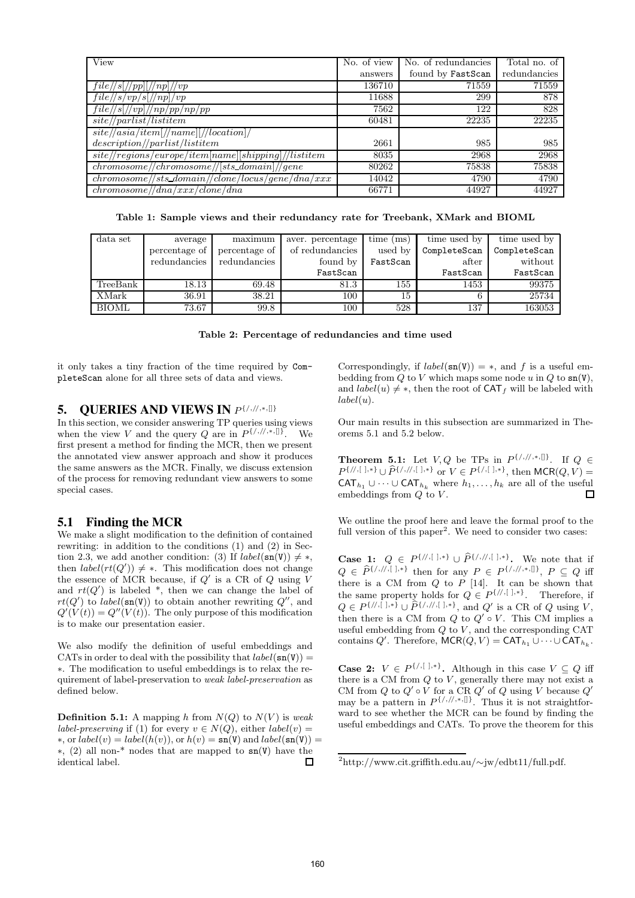| View                                                                               | No. of view | No. of redundancies | Total no. of |
|------------------------------------------------------------------------------------|-------------|---------------------|--------------|
|                                                                                    | answers     | found by FastScan   | redundancies |
| $file/\sqrt{s}$  //pp  //np //vp                                                   | 136710      | 71559               | 71559        |
| $file/\langle s/vp/s\rangle/np\rangle/vp$                                          | 11688       | 299                 | 878          |
| $\sqrt{file/\sqrt{s}}$ [//vp]//np/pp/np/pp                                         | 7562        | 122                 | 828          |
| site//partist/listitem                                                             | 60481       | 22235               | 22235        |
| $site \text{//}asia \text{/item} \text{///}name \text{]} // local ion \text{]} //$ |             |                     |              |
| description/ parlist/listitem                                                      | 2661        | 985                 | 985          |
| $site//regions/europe/item[name][shipping]/listicm$                                | 8035        | 2968                | 2968         |
| $chromosome//chromosome//[sts\_domain]/gene$                                       | 80262       | 75838               | 75838        |
| $chromosome/\!/sts\_domain/\!/clone/\!locus/gene/ana/xxx$                          | 14042       | 4790                | 4790         |
| chromosome//dna/xxx/clone/dna                                                      | 66771       | 44927               | 44927        |

Table 1: Sample views and their redundancy rate for Treebank, XMark and BIOML

| data set     | average       | maximum       | aver. percentage | $time$ (ms) | time used by | time used by |
|--------------|---------------|---------------|------------------|-------------|--------------|--------------|
|              | percentage of | percentage of | of redundancies  | used by     | CompleteScan | CompleteScan |
|              | redundancies  | redundancies  | found by         | FastScan    | after        | without      |
|              |               |               | FastScan         |             | FastScan     | FastScan     |
| TreeBank     | 18.13         | 69.48         | 81.3             | 155         | 1453         | 99375        |
| XMark        | 36.91         | 38.21         | 100              | 15          | 6            | 25734        |
| <b>BIOML</b> | 73.67         | 99.8          | 100              | 528         | 137          | 163053       |

|  | Table 2: Percentage of redundancies and time used |  |  |  |  |  |  |
|--|---------------------------------------------------|--|--|--|--|--|--|
|--|---------------------------------------------------|--|--|--|--|--|--|

it only takes a tiny fraction of the time required by CompleteScan alone for all three sets of data and views.

# **5. QUERIES AND VIEWS IN**  $P\{1,1/1, n, 0\}$

In this section, we consider answering TP queries using views when the view V and the query Q are in  $P^{\{/\gamma/\gamma,\gamma,\llbracket\}}$ . We first present a method for finding the MCR, then we present the annotated view answer approach and show it produces the same answers as the MCR. Finally, we discuss extension of the process for removing redundant view answers to some special cases.

## **5.1 Finding the MCR**

We make a slight modification to the definition of contained rewriting: in addition to the conditions (1) and (2) in Section 2.3, we add another condition: (3) If  $label(\mathbf{s}) \neq *,$ then  $label(rt(Q')) \neq *$ . This modification does not change the essence of MCR because, if  $Q'$  is a CR of  $Q$  using V and  $rt(Q')$  is labeled  $*$ , then we can change the label of  $rt(Q')$  to label(sn(V)) to obtain another rewriting  $Q''$ , and  $Q'(V(t)) = Q''(V(t))$ . The only purpose of this modification is to make our presentation easier.

We also modify the definition of useful embeddings and CATs in order to deal with the possibility that  $label(\mathbf{s}_n(\mathbf{V})) =$ ∗. The modification to useful embeddings is to relax the requirement of label-preservation to weak label-preservation as defined below.

**Definition 5.1:** A mapping h from  $N(Q)$  to  $N(V)$  is weak *label-preserving* if (1) for every  $v \in N(Q)$ , either *label*(*v*) =  $\ast$ , or  $label(v) = label(h(v))$ , or  $h(v) = \text{sn}(V)$  and  $label(\text{sn}(V)) =$ ∗, (2) all non-\* nodes that are mapped to sn(V) have the identical label.  $\Box$ 

Correspondingly, if  $label(\mathbf{s}) = *,$  and f is a useful embedding from Q to V which maps some node u in Q to  $\text{sn}(V)$ , and  $label(u) \neq *$ , then the root of  $CAT<sub>f</sub>$  will be labeled with  $label(u).$ 

Our main results in this subsection are summarized in Theorems 5.1 and 5.2 below.

**Theorem 5.1:** Let  $V, Q$  be TPs in  $P^{\{/\,,\,/\,,\,*,\,]\}}$ . If  $Q \in$  $P^{\{/\!\!,\{\,\!\!\!\}/\,,\{\,\!\!\!\!\},\,\}} \cup \hat{P}^{\{/\!\!,\{\,\!\!\!\}/\,,\{\,\!\!\!\!\},\,\}}$  or  $V \in P^{\{/\!\!,\{\,\!\!\!\!\},\,\!\!\!\},\,\}$  then MCR $(Q,V)$  = CAT<sub>h<sub>1</sub></sub> ∪ · · · ∪ CAT<sub>h<sub>k</sub> where  $h_1, \ldots, h_k$  are all of the useful embeddings from *O* to *V*.</sub> embeddings from  $Q$  to  $V$ .

We outline the proof here and leave the formal proof to the full version of this paper<sup>2</sup>. We need to consider two cases:

**Case 1:**  $Q \in P^{\{/\},[~],*}\cup \widehat{P}^{\{/\},[~],*}\}\)$ . We note that if  $Q \in \widehat{P}^{\{/\!/,\{/\} ,\{ \} , * \}}$  then for any  $P \in P^{\{/\!/,\!/,\ast,\{ \} \}}$ ,  $P \subseteq Q$  iff there is a CM from  $Q$  to  $P$  [14]. It can be shown that the same property holds for  $Q \in P^{\{/\!\!/,\lfloor\ \rfloor,\ast\}}$ . Therefore, if  $Q \in P^{\{/\!\!/,\{.\rfloor,\ast\}} \cup \widehat{P^{\{/\!\!/,\{.\rfloor,\ast\}}}, \text{ and } Q' \text{ is a CR of } Q \text{ using } V,$ then there is a CM from  $Q$  to  $Q' \circ V$ . This CM implies a useful embedding from  $Q$  to  $V$ , and the corresponding CAT contains Q'. Therefore,  $MCR(Q, V) = CAT_{h_1} \cup \cdots \cup CAT_{h_k}$ .

**Case 2:**  $V \in P^{\{/\}$ ,  $\}$ , Although in this case  $V \subseteq Q$  iff there is a CM from  $Q$  to  $V$ , generally there may not exist a CM from  $Q$  to  $Q' \circ V$  for a CR  $Q'$  of  $Q$  using V because  $Q'$ may be a pattern in  $P^{\{/,/,/,*,\{\}]}$ . Thus it is not straightforward to see whether the MCR can be found by finding the useful embeddings and CATs. To prove the theorem for this

<sup>2</sup> http://www.cit.griffith.edu.au/∼jw/edbt11/full.pdf.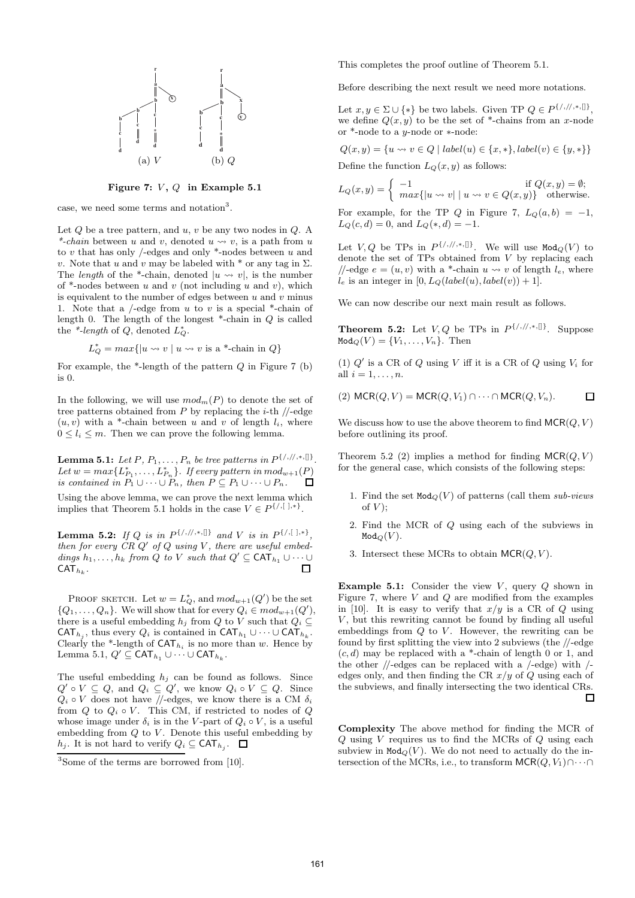

Figure 7:  $V, Q$  in Example 5.1

case, we need some terms and notation<sup>3</sup>.

Let  $Q$  be a tree pattern, and  $u, v$  be any two nodes in  $Q$ . A \*-chain between u and v, denoted  $u \rightsquigarrow v$ , is a path from u to  $v$  that has only /-edges and only  $*$ -nodes between  $u$  and v. Note that u and v may be labeled with  $*$  or any tag in  $\Sigma$ . The length of the \*-chain, denoted  $|u \rangle \rightarrow v|$ , is the number of  $*$ -nodes between u and v (not including u and v), which is equivalent to the number of edges between  $u$  and  $v$  minus 1. Note that a  $/$ -edge from u to v is a special  $*$ -chain of length 0. The length of the longest  $*$ -chain in  $Q$  is called the \*-length of  $Q$ , denoted  $L^*_{Q}$ .

$$
L_Q^* = \max\{|u \leadsto v \mid u \leadsto v \text{ is a *-chain in } Q\}
$$

For example, the  $*$ -length of the pattern  $Q$  in Figure 7 (b) is 0.

In the following, we will use  $mod_m(P)$  to denote the set of tree patterns obtained from  $P$  by replacing the *i*-th //-edge  $(u, v)$  with a \*-chain between u and v of length  $l_i$ , where  $0 \leq l_i \leq m$ . Then we can prove the following lemma.

**Lemma 5.1:** Let  $P, P_1, \ldots, P_n$  be tree patterns in  $P^{\{1, 1, 2, \ldots, n\}}$ . Let  $w = max\{L_{P_1}^*, \ldots, L_{P_n}^*\}$ . If every pattern in  $mod_{w+1}(P)$ is contained in  $P_1 \cup \cdots \cup P_n$ , then  $P \subseteq P_1 \cup \cdots \cup P_n$ .  $\Box$ 

Using the above lemma, we can prove the next lemma which implies that Theorem 5.1 holds in the case  $V \in P^{\{\,\},[~],* \}}$ .

**Lemma 5.2:** If Q is in  $P^{\{/,/,/,*,\{\} \}}$  and V is in  $P^{\{/, [~],* \}},$ then for every  $CR$   $Q'$  of  $Q$  using  $V$ , there are useful embeddings  $h_1, \ldots, h_k$  from Q to V such that  $Q' \subseteq \text{CAT}_{h_1} \cup \cdots \cup$  $\tilde{\mathsf{CAT}}_{h_k}$ . П

PROOF SKETCH. Let  $w = L_Q^*$ , and  $mod_{w+1}(Q')$  be the set  $\{Q_1, \ldots, Q_n\}$ . We will show that for every  $Q_i \in mod_{w+1}(Q'),$ there is a useful embedding  $h_j$  from Q to V such that  $Q_i \subseteq$ CAT<sub>h<sub>j</sub></sub>, thus every  $Q_i$  is contained in CAT<sub>h<sub>1</sub></sub> ∪ · · · ∪ CAT<sub>h<sub>k</sub></sub>. Clearly the \*-length of  $CAT_{h_i}$  is no more than w. Hence by Lemma 5.1,  $Q' \subseteq \text{CAT}_{h_1} \cup \cdots \cup \text{CAT}_{h_k}$ .

The useful embedding  $h_j$  can be found as follows. Since  $Q' \circ V \subseteq Q$ , and  $Q_i \subseteq Q'$ , we know  $Q_i \circ V \subseteq Q$ . Since  $Q_i \circ V$  does not have //-edges, we know there is a CM  $\delta_i$ from  $Q$  to  $Q_i \circ V$ . This CM, if restricted to nodes of  $Q$ whose image under  $\delta_i$  is in the V-part of  $Q_i \circ V$ , is a useful embedding from  $Q$  to  $V$ . Denote this useful embedding by  $h_j$ . It is not hard to verify  $Q_i \subseteq \text{CAT}_{h_j}$ .

This completes the proof outline of Theorem 5.1.

Before describing the next result we need more notations.

Let  $x, y \in \Sigma \cup \{*\}$  be two labels. Given TP  $Q \in P^{\{1, 1, 1, \dots, n\}}$ , we define  $Q(x, y)$  to be the set of \*-chains from an x-node or \*-node to a y-node or ∗-node:

 $Q(x, y) = \{u \leadsto v \in Q \mid label(u) \in \{x, *\}, label(v) \in \{y, *\}\}\$ 

Define the function  $L_Q(x, y)$  as follows:

$$
L_Q(x,y) = \begin{cases} -1 & \text{if } Q(x,y) = \emptyset; \\ \max\{|u \leadsto v| \mid u \leadsto v \in Q(x,y)\} & \text{otherwise.} \end{cases}
$$

For example, for the TP Q in Figure 7,  $L_Q(a, b) = -1$ ,  $L_Q(c, d) = 0$ , and  $L_Q(*, d) = -1$ .

Let  $V, Q$  be TPs in  $P^{\{/,/,+, \mathbb{I}\}}$ . We will use  $\texttt{Mod}_Q(V)$  to denote the set of TPs obtained from V by replacing each //-edge  $e = (u, v)$  with a \*-chain  $u \leadsto v$  of length  $l_e$ , where  $l_e$  is an integer in  $[0, L_Q(label(u), label(v)) + 1].$ 

We can now describe our next main result as follows.

**Theorem 5.2:** Let  $V, Q$  be TPs in  $P^{\{/\frac{1}{3}, \dots, n\}}$ . Suppose  $Mod_Q(V) = \{V_1, \ldots, V_n\}.$  Then

(1)  $Q'$  is a CR of  $Q$  using  $V$  iff it is a CR of  $Q$  using  $V_i$  for all  $i = 1, \ldots, n$ .

(2) 
$$
\text{MCR}(Q, V) = \text{MCR}(Q, V_1) \cap \cdots \cap \text{MCR}(Q, V_n).
$$

We discuss how to use the above theorem to find  $MCR(Q, V)$ before outlining its proof.

Theorem 5.2 (2) implies a method for finding  $MCR(Q, V)$ for the general case, which consists of the following steps:

- 1. Find the set  $Mod_Q(V)$  of patterns (call them sub-views of  $V$ ;
- 2. Find the MCR of Q using each of the subviews in  $Mod_{\mathcal{O}}(V)$ .
- 3. Intersect these MCRs to obtain  $MCR(Q, V)$ .

**Example 5.1:** Consider the view  $V$ , query  $Q$  shown in Figure 7, where  $V$  and  $Q$  are modified from the examples in [10]. It is easy to verify that  $x/y$  is a CR of Q using  $V$ , but this rewriting cannot be found by finding all useful embeddings from  $Q$  to  $V$ . However, the rewriting can be found by first splitting the view into 2 subviews (the //-edge  $(c, d)$  may be replaced with a \*-chain of length 0 or 1, and the other  $\ell$ -edges can be replaced with a  $\ell$ -edge) with  $\ell$ edges only, and then finding the CR  $x/y$  of  $Q$  using each of the subviews, and finally intersecting the two identical CRs.  $\Box$ 

Complexity The above method for finding the MCR of  $Q$  using  $V$  requires us to find the MCRs of  $Q$  using each subview in  $Mod_{\mathcal{Q}}(V)$ . We do not need to actually do the intersection of the MCRs, i.e., to transform  $\mathsf{MCR}(Q, V_1) \cap \cdots \cap$ 

<sup>&</sup>lt;sup>3</sup>Some of the terms are borrowed from [10].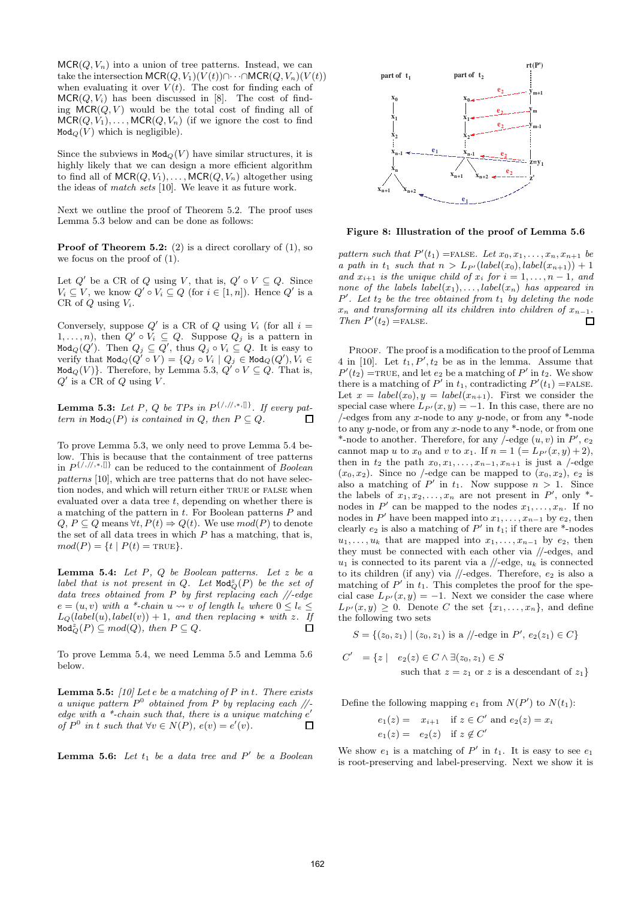$MCR(Q, V_n)$  into a union of tree patterns. Instead, we can take the intersection  $MCR(Q, V_1)(V(t))\cap \cdots \cap MCR(Q, V_n)(V(t))$ when evaluating it over  $V(t)$ . The cost for finding each of  $MCR(Q, V_i)$  has been discussed in [8]. The cost of finding  $MCR(Q, V)$  would be the total cost of finding all of  $MCR(Q, V_1), \ldots, MCR(Q, V_n)$  (if we ignore the cost to find  $Mod_Q(V)$  which is negligible).

Since the subviews in  $Mod_Q(V)$  have similar structures, it is highly likely that we can design a more efficient algorithm to find all of  $MCR(Q, V_1), \ldots, MCR(Q, V_n)$  altogether using the ideas of match sets [10]. We leave it as future work.

Next we outline the proof of Theorem 5.2. The proof uses Lemma 5.3 below and can be done as follows:

**Proof of Theorem 5.2:** (2) is a direct corollary of  $(1)$ , so we focus on the proof of (1).

Let  $Q'$  be a CR of Q using V, that is,  $Q' \circ V \subseteq Q$ . Since  $V_i \subseteq V$ , we know  $Q' \circ V_i \subseteq Q$  (for  $i \in [1, n]$ ). Hence  $Q'$  is a CR of  $Q$  using  $V_i$ .

Conversely, suppose  $Q'$  is a CR of Q using  $V_i$  (for all  $i =$  $1, \ldots, n$ , then  $Q' \circ V_i \subseteq Q$ . Suppose  $Q_j$  is a pattern in Mod $_Q(Q')$ . Then  $Q_j \subseteq Q'$ , thus  $Q_j \circ V_i \subseteq Q$ . It is easy to verify that  $\text{\tt Mod}_Q(Q^7\circ V)=\{Q_j\circ V_i\mid Q_j\in\text{\tt Mod}_Q(Q'), V_i\in$ Mod<sub>Q</sub> $(V)$ }. Therefore, by Lemma 5.3,  $Q' \circ V \subseteq Q$ . That is,  $Q'$  is a CR of  $Q$  using  $V$ .

**Lemma 5.3:** Let P, Q be TPs in  $P^{\{/,/,*,\mathfrak{h}\}}$ . If every pattern in  $Mod_{\mathcal{O}}(P)$  is contained in Q, then  $P \subseteq Q$ . П

To prove Lemma 5.3, we only need to prove Lemma 5.4 below. This is because that the containment of tree patterns in  $P^{\{/,/,*,\{\} \}}$  can be reduced to the containment of *Boolean* patterns [10], which are tree patterns that do not have selection nodes, and which will return either TRUE or FALSE when evaluated over a data tree  $t$ , depending on whether there is a matching of the pattern in  $t$ . For Boolean patterns  $P$  and  $Q, P \subseteq Q$  means  $\forall t, P(t) \Rightarrow Q(t)$ . We use  $mod(P)$  to denote the set of all data trees in which  $P$  has a matching, that is,  $mod(P) = \{t | P(t) = \text{TRUE}\}.$ 

Lemma 5.4: Let  $P$ ,  $Q$  be Boolean patterns. Let  $z$  be a label that is not present in  $Q$ . Let  $\text{Mod}_{Q}^{z}(P)$  be the set of data trees obtained from P by first replacing each  $\sqrt{\ }$ -edge  $e = (u, v)$  with a \*-chain  $u \leadsto v$  of length  $l_e$  where  $0 \leq l_e \leq$  $L_{\mathcal{Q}}(label(u), label(v)) + 1$ , and then replacing \* with z. If  $\texttt{Mod}_{Q}^{z}(P) \subseteq mod(Q), \text{ then } P \subseteq Q.$  $\Box$ 

To prove Lemma 5.4, we need Lemma 5.5 and Lemma 5.6 below.

**Lemma 5.5:** [10] Let e be a matching of P in t. There exists a unique pattern  $P^0$  obtained from P by replacing each //edge with a  $*$ -chain such that, there is a unique matching  $e'$ of  $P^0$  in t such that  $\forall v \in N(P)$ ,  $e(v) = e'(v)$ .  $\Box$ 

**Lemma 5.6:** Let  $t_1$  be a data tree and  $P'$  be a Boolean



Figure 8: Illustration of the proof of Lemma 5.6

pattern such that  $P'(t_1)$  =FALSE. Let  $x_0, x_1, \ldots, x_n, x_{n+1}$  be a path in  $t_1$  such that  $n > L_{P'}(label(x_0), label(x_{n+1})) + 1$ and  $x_{i+1}$  is the unique child of  $x_i$  for  $i = 1, \ldots, n-1$ , and none of the labels  $label(x_1), \ldots, label(x_n)$  has appeared in  $P'$ . Let  $t_2$  be the tree obtained from  $t_1$  by deleting the node  $x_n$  and transforming all its children into children of  $x_{n-1}$ .<br>Then  $P'(t_2)$  = FALSE. Then  $P'(t_2)$  =FALSE.

PROOF. The proof is a modification to the proof of Lemma 4 in [10]. Let  $t_1, P', t_2$  be as in the lemma. Assume that  $P'(t_2)$  =TRUE, and let  $e_2$  be a matching of  $P'$  in  $t_2$ . We show there is a matching of P' in  $t_1$ , contradicting  $P'(t_1)$  =FALSE. Let  $x = label(x_0), y = label(x_{n+1})$ . First we consider the special case where  $L_{P'}(x, y) = -1$ . In this case, there are no  $/$ -edges from any x-node to any y-node, or from any  $*$ -node to any y-node, or from any x-node to any \*-node, or from one \*-node to another. Therefore, for any /-edge  $(u, v)$  in  $P'$ ,  $e_2$ cannot map u to  $x_0$  and v to  $x_1$ . If  $n = 1$  (=  $L_{P'}(x, y) + 2$ ), then in  $t_2$  the path  $x_0, x_1, \ldots, x_{n-1}, x_{n+1}$  is just a /-edge  $(x_0, x_2)$ . Since no /-edge can be mapped to  $(x_0, x_2)$ ,  $e_2$  is also a matching of P' in  $t_1$ . Now suppose  $n > 1$ . Since the labels of  $x_1, x_2, \ldots, x_n$  are not present in  $P'$ , only  $*$ nodes in P' can be mapped to the nodes  $x_1, \ldots, x_n$ . If no nodes in  $P'$  have been mapped into  $x_1, \ldots, x_{n-1}$  by  $e_2$ , then clearly  $e_2$  is also a matching of  $P'$  in  $t_1$ ; if there are \*-nodes  $u_1, \ldots, u_k$  that are mapped into  $x_1, \ldots, x_{n-1}$  by  $e_2$ , then they must be connected with each other via //-edges, and  $u_1$  is connected to its parent via a  $\text{/}/\text{-edge}, u_k$  is connected to its children (if any) via  $\mathcal{U}-$ edges. Therefore,  $e_2$  is also a matching of  $P'$  in  $t_1$ . This completes the proof for the special case  $L_{P'}(x,y) = -1$ . Next we consider the case where  $L_{P'}(x,y) \geq 0$ . Denote C the set  $\{x_1, \ldots, x_n\}$ , and define the following two sets

$$
S = \{(z_0, z_1) \mid (z_0, z_1) \text{ is a } // \text{-edge in } P', e_2(z_1) \in C\}
$$

$$
C' = \{ z \mid e_2(z) \in C \land \exists (z_0, z_1) \in S
$$
  
such that  $z = z_1$  or z is a descendant of  $z_1 \}$ 

Define the following mapping  $e_1$  from  $N(P')$  to  $N(t_1)$ :

$$
e_1(z) = x_{i+1} \quad \text{if } z \in C' \text{ and } e_2(z) = x_i
$$
  

$$
e_1(z) = e_2(z) \quad \text{if } z \notin C'
$$

We show  $e_1$  is a matching of  $P'$  in  $t_1$ . It is easy to see  $e_1$ is root-preserving and label-preserving. Next we show it is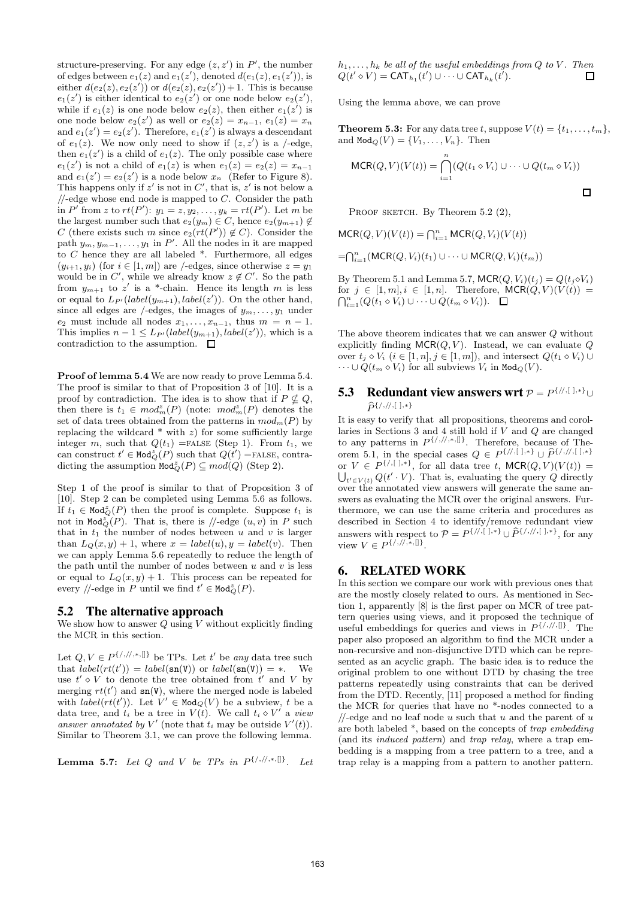structure-preserving. For any edge  $(z, z')$  in  $P'$ , the number of edges between  $e_1(z)$  and  $e_1(z')$ , denoted  $d(e_1(z), e_1(z'))$ , is either  $d(e_2(z), e_2(z'))$  or  $d(e_2(z), e_2(z'))+1$ . This is because  $e_1(z')$  is either identical to  $e_2(z')$  or one node below  $e_2(z')$ , while if  $e_1(z)$  is one node below  $e_2(z)$ , then either  $e_1(z')$  is one node below  $e_2(z')$  as well or  $e_2(z) = x_{n-1}$ ,  $e_1(z) = x_n$ and  $e_1(z') = e_2(z')$ . Therefore,  $e_1(z')$  is always a descendant of  $e_1(z)$ . We now only need to show if  $(z, z')$  is a /-edge, then  $e_1(z')$  is a child of  $e_1(z)$ . The only possible case where  $e_1(z')$  is not a child of  $e_1(z)$  is when  $e_1(z) = e_2(z) = x_{n-1}$ and  $e_1(z') = e_2(z')$  is a node below  $x_n$  (Refer to Figure 8). This happens only if  $z'$  is not in  $C'$ , that is,  $z'$  is not below a  $\mathcal{U}$ -edge whose end node is mapped to C. Consider the path in P' from z to  $rt(P')$ :  $y_1 = z, y_2, \ldots, y_k = rt(P')$ . Let m be the largest number such that  $e_2(y_m) \in C$ , hence  $e_2(y_{m+1}) \notin$ C (there exists such m since  $e_2(rt(P')) \notin C$ ). Consider the path  $y_m, y_{m-1}, \ldots, y_1$  in P'. All the nodes in it are mapped to  $C$  hence they are all labeled  $*$ . Furthermore, all edges  $(y_{i+1}, y_i)$  (for  $i \in [1, m]$ ) are /-edges, since otherwise  $z = y_1$ would be in C', while we already know  $z \notin C'$ . So the path from  $y_{m+1}$  to  $z'$  is a \*-chain. Hence its length m is less or equal to  $L_{P'}(label(y_{m+1}),label(z'))$ . On the other hand, since all edges are /-edges, the images of  $y_m, \ldots, y_1$  under  $e_2$  must include all nodes  $x_1, \ldots, x_{n-1}$ , thus  $m = n - 1$ . This implies  $n-1 \leq L_{P'}(label(y_{m+1}),label(z'))$ , which is a contradiction to the assumption.  $\Box$ 

Proof of lemma 5.4 We are now ready to prove Lemma 5.4. The proof is similar to that of Proposition 3 of [10]. It is a proof by contradiction. The idea is to show that if  $P \nsubseteq Q$ , then there is  $t_1 \in \text{mod}_m^z(P)$  (note:  $\text{mod}_m^z(P)$  denotes the set of data trees obtained from the patterns in  $mod_m(P)$  by replacing the wildcard  $*$  with  $z$ ) for some sufficiently large integer m, such that  $Q(t_1)$  =false (Step 1). From  $t_1$ , we can construct  $t' \in \text{Mod}_{Q}^{z}(P)$  such that  $Q(t') =$ FALSE, contradicting the assumption  $\text{Mod}_{Q}^{z}(P) \subseteq mod(Q)$  (Step 2).

Step 1 of the proof is similar to that of Proposition 3 of [10]. Step 2 can be completed using Lemma 5.6 as follows. If  $t_1 \in \text{Mod}_{Q}^z(P)$  then the proof is complete. Suppose  $t_1$  is not in Mod $\tilde{Q}(P)$ . That is, there is //-edge  $(u, v)$  in P such that in  $t_1$  the number of nodes between u and v is larger than  $L_Q(x, y) + 1$ , where  $x = label(u), y = label(v)$ . Then we can apply Lemma 5.6 repeatedly to reduce the length of the path until the number of nodes between  $u$  and  $v$  is less or equal to  $L_Q(x, y) + 1$ . This process can be repeated for every //-edge in P until we find  $t' \in \text{Mod}_{Q}^{z}(P)$ .

#### **5.2 The alternative approach**

We show how to answer  $Q$  using  $V$  without explicitly finding the MCR in this section.

Let  $Q, V \in P^{\{/,/,/,*,\{\} \}}$  be TPs. Let t' be any data tree such that  $label(rt') = label(\text{sn}(V))$  or  $label(\text{sn}(V)) = *$ . We use  $t' \diamond V$  to denote the tree obtained from  $t'$  and V by merging  $rt(t')$  and  $sn(V)$ , where the merged node is labeled with  $label(rt')$ ). Let  $V' \in Mod_Q(V)$  be a subview, t be a data tree, and  $t_i$  be a tree in  $V(t)$ . We call  $t_i \diamond V'$  a view answer annotated by V' (note that  $t_i$  may be outside  $V'(t)$ ). Similar to Theorem 3.1, we can prove the following lemma.

**Lemma 5.7:** Let Q and V be TPs in  $P^{\{/\,,\}/\,,\ast,\,\ldots\}}$ . Let

 $h_1, \ldots, h_k$  be all of the useful embeddings from Q to V. Then  $Q(t' \diamond V) = \text{CAT}_{h_1}(t') \cup \cdots \cup \text{CAT}_{h_k}(t').$  $\Box$ 

Using the lemma above, we can prove

**Theorem 5.3:** For any data tree t, suppose  $V(t) = \{t_1, \ldots, t_m\},\$ and  $\text{Mod}_\mathcal{Q}(V) = \{V_1, \ldots, V_n\}$ . Then

$$
MCR(Q, V)(V(t)) = \bigcap_{i=1}^{n} (Q(t_1 \diamond V_i) \cup \dots \cup Q(t_m \diamond V_i))
$$

PROOF SKETCH. By Theorem 5.2 (2),

 $MCR(Q, V)(V(t)) = \bigcap_{i=1}^{n} MCR(Q, V_i)(V(t))$ 

 $=\bigcap_{i=1}^n (\mathsf{MCR}(Q,V_i)(t_1) \cup \cdots \cup \mathsf{MCR}(Q,V_i)(t_m))$ 

By Theorem 5.1 and Lemma 5.7,  $MCR(Q, V_i)(t_j) = Q(t_j \diamond V_i)$ for  $j \in [1, m], i \in [1, n]$ . Therefore,  $MCR(Q, V)(V(t)) =$  $\bigcap_{i=1}^n (Q(t_1 \diamond V_i) \cup \cdots \cup Q(t_m \diamond V_i)).$ 

The above theorem indicates that we can answer Q without explicitly finding  $MCR(Q, V)$ . Instead, we can evaluate Q over  $t_i \diamond V_i$   $(i \in [1, n], j \in [1, m]$ , and intersect  $Q(t_1 \diamond V_i) \cup$  $\cdots \cup Q(t_m \diamond V_i)$  for all subviews  $V_i$  in Mod<sub>Q</sub>(V).

#### **5.3** Redundant view answers wrt  $P = P^{\{/\!\!/,\{|\},*\}} \cup$  $\widehat{P}^{\{/,/\!/,[\;],*\}}$

It is easy to verify that all propositions, theorems and corollaries in Sections 3 and 4 still hold if  $V$  and  $Q$  are changed to any patterns in  $P^{\{/,/,*,\{\}]}$ . Therefore, because of Theorem 5.1, in the special cases  $Q \in P^{\{/\!\!,\,\cdot\,\cdot\,\cdot\}} \cup \hat{P}^{\{/\!\!,\,\cdot\,\cdot\,\cdot\,\cdot\,\cdot\,\cdot\,\cdot\,\cdot\}}$ or  $V \in P^{\{\rfloor,\lceil \cdot \rceil, * \}}$ , for all data tree t, MCR $(Q, V)(V(t)) =$  $\bigcup_{t' \in V(t)} Q(t' \cdot V)$ . That is, evaluating the query Q directly over the annotated view answers will generate the same answers as evaluating the MCR over the original answers. Furthermore, we can use the same criteria and procedures as described in Section 4 to identify/remove redundant view answers with respect to  $\mathcal{P} = P^{\{/\!\!/,\{|\},*\}} \cup \widehat{P}^{\{/\!\!/,\{|\},*\}}$ , for any view  $V \in P^{\{/,/\!/,\ast,\llbracket\}}$ .

# **6. RELATED WORK**

In this section we compare our work with previous ones that are the mostly closely related to ours. As mentioned in Section 1, apparently [8] is the first paper on MCR of tree pattern queries using views, and it proposed the technique of useful embeddings for queries and views in  $P^{\{/\gamma/\gamma\}}$ . The paper also proposed an algorithm to find the MCR under a non-recursive and non-disjunctive DTD which can be represented as an acyclic graph. The basic idea is to reduce the original problem to one without DTD by chasing the tree patterns repeatedly using constraints that can be derived from the DTD. Recently, [11] proposed a method for finding the MCR for queries that have no \*-nodes connected to a  $\mathcal{U}$ -edge and no leaf node u such that u and the parent of u are both labeled  $*$ , based on the concepts of  $trap$  embedding (and its induced pattern) and trap relay, where a trap embedding is a mapping from a tree pattern to a tree, and a trap relay is a mapping from a pattern to another pattern.